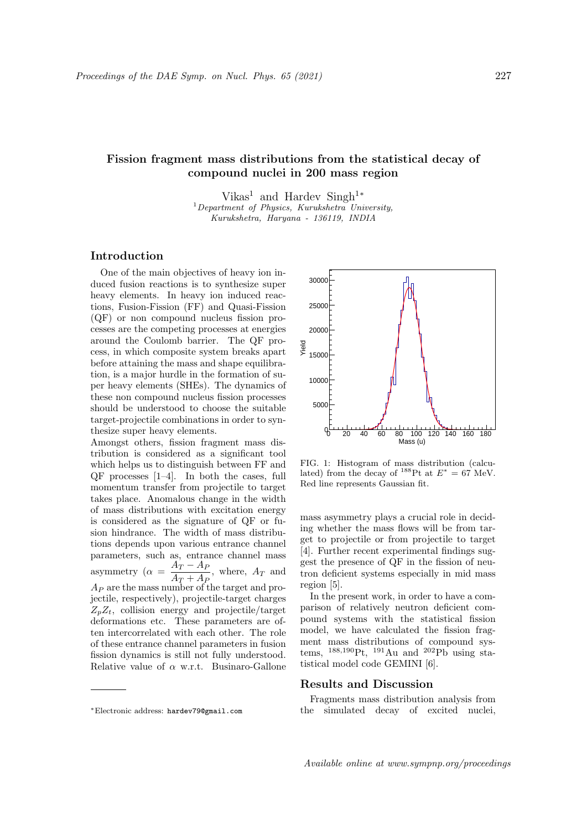# Fission fragment mass distributions from the statistical decay of compound nuclei in 200 mass region

Vikas<sup>1</sup> and Hardev Singh<sup>1</sup><sup>\*</sup>  $1$ Department of Physics, Kurukshetra University, Kurukshetra, Haryana - 136119, INDIA

## Introduction

One of the main objectives of heavy ion induced fusion reactions is to synthesize super heavy elements. In heavy ion induced reactions, Fusion-Fission (FF) and Quasi-Fission (QF) or non compound nucleus fission processes are the competing processes at energies around the Coulomb barrier. The QF process, in which composite system breaks apart before attaining the mass and shape equilibration, is a major hurdle in the formation of super heavy elements (SHEs). The dynamics of these non compound nucleus fission processes should be understood to choose the suitable target-projectile combinations in order to synthesize super heavy elements.

Amongst others, fission fragment mass distribution is considered as a significant tool which helps us to distinguish between FF and QF processes [1–4]. In both the cases, full momentum transfer from projectile to target takes place. Anomalous change in the width of mass distributions with excitation energy is considered as the signature of QF or fusion hindrance. The width of mass distributions depends upon various entrance channel parameters, such as, entrance channel mass asymmetry ( $\alpha = \frac{A_T - A_F}{4}$  $\frac{A_T}{A_T + A_P}$ , where,  $A_T$  and  $A_P$  are the mass number of the target and projectile, respectively), projectile-target charges  $Z_nZ_t$ , collision energy and projectile/target deformations etc. These parameters are often intercorrelated with each other. The role of these entrance channel parameters in fusion fission dynamics is still not fully understood. Relative value of  $\alpha$  w.r.t. Businaro-Gallone the<br>size super heavy dements. The mongst others, fission fragment mass dis-<br>
whom help wores the distinguish between FF and FIG. 1: Histogram of mass distribution (calcu-<br>
whom help wores in the cases, full and from the d



FIG. 1: Histogram of mass distribution (calculated) from the decay of <sup>188</sup>Pt at  $E^* = 67$  MeV. Red line represents Gaussian fit.

mass asymmetry plays a crucial role in deciding whether the mass flows will be from target to projectile or from projectile to target [4]. Further recent experimental findings suggest the presence of QF in the fission of neutron deficient systems especially in mid mass region [5].

In the present work, in order to have a comparison of relatively neutron deficient compound systems with the statistical fission model, we have calculated the fission fragment mass distributions of compound systems,  $^{188,190}$ Pt,  $^{191}$ Au and  $^{202}$ Pb using statistical model code GEMINI [6].

## Results and Discussion

Fragments mass distribution analysis from the simulated decay of excited nuclei,